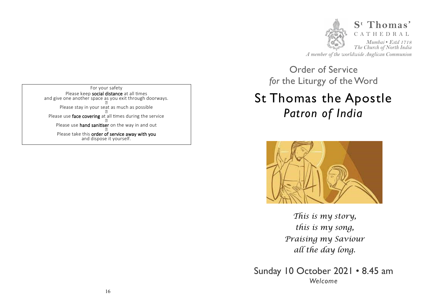

*A member of the worldwide Anglican Communion* 

Order of Service *for* the Liturgy of the Word

# St Thomas the Apostle *Patron of India*



This is my story, this is my song, Praising my Saviour all the day long.

Sunday 10 October 2021 • 8.45 am *Welcome* 

For your safety Please keep social distance at all times and give one another space as you exit through doorways. ? Please stay in your seat as much as possible ? Please use *face covering* at all times during the service ? Please use hand sanitiser on the way in and out

Please take this **order of service away with you** and dispose it yourself.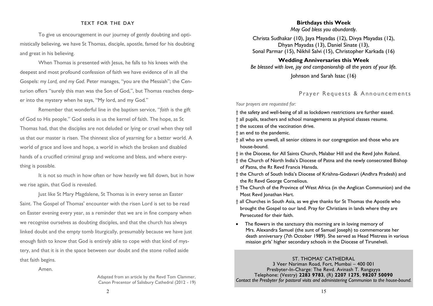#### TEXT FOR THE DAY

To give us encouragement in our journey of gently doubting and optimistically believing, we have St Thomas, disciple, apostle, famed for his doubting and great in his believing.

When Thomas is presented with Jesus, he falls to his knees with the deepest and most profound confession of faith we have evidence of in all the Gospels: *my Lord, and my God*. Peter manages, "you are the Messiah"; the Centurion offers "surely this man was the Son of God,", but Thomas reaches deeper into the mystery when he says, "My lord, and my God."

Remember that wonderful line in the baptism service, "*faith* is the gift of God to His people." God seeks in us the kernel of faith. The hope, as St Thomas had, that the disciples are not deluded or lying or cruel when they tell us that our master is risen. The thinnest slice of yearning for a better world. A world of grace and love and hope, a world in which the broken and disabled hands of a crucified criminal grasp and welcome and bless, and where everything is possible.

It is not so much in how often or how heavily we fall down, but in how we rise again, that God is revealed.

Just like St Mary Magdalene, St Thomas is in every sense an Easter Saint. The Gospel of Thomas' encounter with the risen Lord is set to be read on Easter evening every year, as a reminder that we are in fine company when we recognise ourselves as doubting disciples, and that the church has always linked doubt and the empty tomb liturgically, presumably because we have just enough faith to know that God is entirely able to cope with that kind of mystery, and that it is in the space between our doubt and the stone rolled aside that faith begins.

Amen.

Adapted from an article by the Revd Tom Clammer, Canon Precentor of Salisbury Cathedral (2012 - 19)

#### **Birthdays this Week**

*May God bless you abundantly.* 

Christa Sudhakar (10), Jaya Mayadas (12), Divya Mayadas (12), Dhyan Mayadas (13), Daniel Sinate (13), Sonal Parmar (15), Nikhil Salvi (15), Christopher Karkada (16)

#### **Wedding Anniversaries this Week**

*Be blessed with love, joy and companionship all the years of your life.* 

#### Johnson and Sarah Issac (16)

#### Prayer Requests & Announcements

*Your prayers are requested for:* 

- † the safety and well-being of all as lockdown restrictions are further eased.
- † all pupils, teachers and school managements as physical classes resume.
- † the success of the vaccination drive.
- † an end to the pandemic.
- † all who are unwell, all senior citizens in our congregation and those who are house-bound.
- † in the Diocese, for All Saints Church, Malabar Hill and the Revd John Roland.
- † the Church of North India's Diocese of Patna and the newly consecrated Bishop of Patna, the Rt Revd Francis Hansda.
- † the Church of South India's Diocese of Krishna-Godavari (Andhra Pradesh) and the Rt Revd George Cornelious.
- † The Church of the Province of West Africa (in the Anglican Communion) and the Most Revd Jonathan Hart.
- † all Churches in South Asia, as we give thanks for St Thomas the Apostle who brought the Gospel to our land. Pray for Christians in lands where they are Persecuted for their faith.
- The flowers in the sanctuary this morning are in loving memory of Mrs. Alexandra Samuel (the aunt of Samuel Joseph) to commemorate her death anniversary (7th October 1989). She served as Head Mistress in various mission girls' higher secondary schools in the Diocese of Tirunelveli.

#### ST. THOMAS' CATHEDRAL

3 Veer Nariman Road, Fort, Mumbai – 400 001 Presbyter-In-Charge: The Revd. Avinash T. Rangayya Telephone: (Vestry) **2283 9783**, (R) **2207 1275**, **98207 50090**  *Contact the Presbyter for pastoral visits and administering Communion to the house-bound.*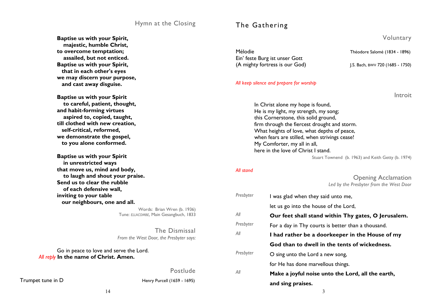## Hymn at the Closing

**Baptise us with your Spirit, majestic, humble Christ, to overcome temptation; assailed, but not enticed. Baptise us with your Spirit, that in each other's eyes we may discern your purpose, and cast away disguise.** 

**Baptise us with your Spirit to careful, patient, thought, and habit-forming virtues aspired to, copied, taught, till clothed with new creation, self-critical, reformed, we demonstrate the gospel, to you alone conformed.** 

**Baptise us with your Spirit in unrestricted ways that move us, mind and body, to laugh and shout your praise. Send us to clear the rubble of each defensive wall, inviting to your table our neighbours, one and all.** 

> Words: Brian Wren (b. 1936) Tune: *ELLACOMBE*, Main Gesangbuch, 1833

The Dismissal *From the West Door, the Presbyter says:* 

 Go in peace to love and serve the Lord.  *All reply* **In the name of Christ. Amen.** 

## Postlude

Trumpet tune in D Henry Purcell (1659 - 1695)

# The Gathering

Voluntary

Mélodie Théodore Salomé (1834 - 1896) Ein' feste Burg ist unser Gott (A mighty fortress is our God) [.S. Bach, BWV 720 (1685 - 1750)

#### *All keep silence and prepare for worship*

Introit

In Christ alone my hope is found, He is my light, my strength, my song; this Cornerstone, this solid ground, firm through the fiercest drought and storm. What heights of love, what depths of peace, when fears are stilled, when strivings cease! My Comforter, my all in all, here in the love of Christ I stand. Stuart Townend (b. 1963) and Keith Getty (b. 1974)

#### *All stand*

Opening Acclamation *Led by the Presbyter from the West Door* 

| Presbyter | I was glad when they said unto me,                  |  |  |
|-----------|-----------------------------------------------------|--|--|
|           | let us go into the house of the Lord,               |  |  |
| All       | Our feet shall stand within Thy gates, O Jerusalem. |  |  |
| Presbyter | For a day in Thy courts is better than a thousand.  |  |  |
| All       | I had rather be a doorkeeper in the House of my     |  |  |
|           | God than to dwell in the tents of wickedness.       |  |  |
| Presbyter | O sing unto the Lord a new song,                    |  |  |
|           | for He has done marvellous things.                  |  |  |
| All       | Make a joyful noise unto the Lord, all the earth,   |  |  |
|           | and sing praises.                                   |  |  |
|           |                                                     |  |  |

14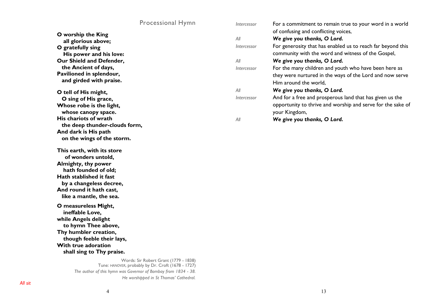|                                                                                                                                                                                                                 | <b>Processional Hymn</b> | Intercessor                              | For a commitment to remain true to your word in a world                                                                                                                                                                                                                                                                                                               |
|-----------------------------------------------------------------------------------------------------------------------------------------------------------------------------------------------------------------|--------------------------|------------------------------------------|-----------------------------------------------------------------------------------------------------------------------------------------------------------------------------------------------------------------------------------------------------------------------------------------------------------------------------------------------------------------------|
| O worship the King<br>all glorious above;<br>O gratefully sing<br>His power and his love:<br>Our Shield and Defender,<br>the Ancient of days,<br>Pavilioned in splendour,<br>and girded with praise.            |                          | All<br>Intercessor<br>All<br>Intercessor | of confusing and conflicting voices,<br>We give you thanks, O Lord.<br>For generosity that has enabled us to reach far beyond this<br>community with the word and witness of the Gospel,<br>We give you thanks, O Lord.<br>For the many children and youth who have been here as<br>they were nurtured in the ways of the Lord and now serve<br>Him around the world, |
| O tell of His might,<br>O sing of His grace,<br>Whose robe is the light,<br>whose canopy space.<br>His chariots of wrath<br>the deep thunder-clouds form,<br>And dark is His path<br>on the wings of the storm. |                          | All<br>Intercessor<br>All                | We give you thanks, O Lord.<br>And for a free and prosperous land that has given us the<br>opportunity to thrive and worship and serve for the sake of<br>your Kingdom,<br>We give you thanks, O Lord.                                                                                                                                                                |
| This earth, with its store<br>of wonders untold,<br><b>Almighty, thy power</b><br>hath founded of old;<br>Hath stablished it fast<br>by a changeless decree,<br>And round it hath cast,                         |                          |                                          |                                                                                                                                                                                                                                                                                                                                                                       |

Words: Sir Robert Grant (1779 - 1838) Tune: *HANOVER*, probably by Dr. Croft (1678 - 1727) *The author of this hymn was Governor of Bombay from 1834 - 38. He worshipped in St Thomas' Cathedral.*

 **like a mantle, the sea.** 

 **though feeble their lays,** 

 **shall sing to Thy praise.** 

**O measureless Might, ineffable Love, while Angels delight to hymn Thee above, Thy humbler creation,** 

**With true adoration**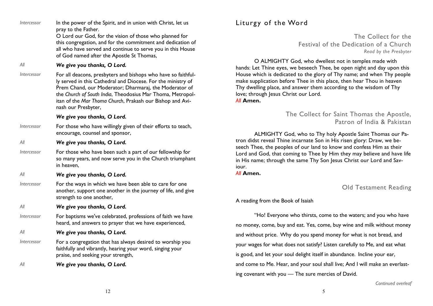*Intercessor* In the power of the Spirit, and in union with Christ, let us pray to the Father.

O Lord our God, for the vision of those who planned for this congregation, and for the commitment and dedication of all who have served and continue to serve you in this House of God named after the Apostle St Thomas,

## *All We give you thanks, O Lord.*

*Intercessor* For all deacons, presbyters and bishops who have so faithfully served in this Cathedral and Diocese. For the ministry of Prem Chand, our Moderator; Dharmaraj, the Moderator of the *Church of South India*, Theodosius Mar Thoma, Metropolitan of the *Mar Thoma Church*, Prakash our Bishop and Avinash our Presbyter,

## *We give you thanks, O Lord.*

*Intercessor* For those who have willingly given of their efforts to teach, encourage, counsel and sponsor,

## *All We give you thanks, O Lord.*

*Intercessor* For those who have been such a part of our fellowship for so many years, and now serve you in the Church triumphant in heaven,

## *All We give you thanks, O Lord.*

- *Intercessor* For the ways in which we have been able to care for one another, support one another in the journey of life, and give strength to one another,
- *All We give you thanks, O Lord.*
- *Intercessor* For baptisms we've celebrated, professions of faith we have heard, and answers to prayer that we have experienced,

## *All We give you thanks, O Lord.*

*Intercessor* For a congregation that has always desired to worship you faithfully and vibrantly, hearing your word, singing your praise, and seeking your strength,

*All We give you thanks, O Lord.* 

# Liturgy of the Word

The Collect for the Festival of the Dedication of a Church *Read by the Presbyter* 

 O ALMIGHTY God, who dwellest not in temples made with hands: Let Thine eyes, we beseech Thee, be open night and day upon this House which is dedicated to the glory of Thy name; and when Thy people make supplication before Thee in this place, then hear Thou in heaven Thy dwelling place, and answer them according to the wisdom of Thy love; through Jesus Christ our Lord. *All* **Amen.** 

## The Collect for Saint Thomas the Apostle, Patron of India & Pakistan

 ALMIGHTY God, who to Thy holy Apostle Saint Thomas our Patron didst reveal Thine incarnate Son in His risen glory: Draw, we beseech Thee, the peoples of our land to know and confess Him as their Lord and God, that coming to Thee by Him they may believe and have life in His name; through the same Thy Son Jesus Christ our Lord and Saviour.

*All* **Amen.** 

# Old Testament Reading

## A reading from the Book of Isaiah

"Ho! Everyone who thirsts, come to the waters; and you who have no money, come, buy and eat. Yes, come, buy wine and milk without money and without price. Why do you spend money for what is not bread, and your wages for what does not satisfy? Listen carefully to Me, and eat what is good, and let your soul delight itself in abundance. Incline your ear, and come to Me. Hear, and your soul shall live; And I will make an everlasting covenant with you — The sure mercies of David.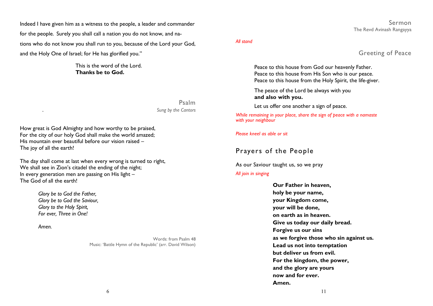Indeed I have given him as a witness to the people, a leader and commander for the people. Surely you shall call a nation you do not know, and nations who do not know you shall run to you, because of the Lord your God, and the Holy One of Israel; for He has glorified you."

> This is the word of the Lord. **Thanks be to God.**

> > Psalm . *Sung by the Cantors*

How great is God Almighty and how worthy to be praised, For the city of our holy God shall make the world amazed; His mountain ever beautiful before our vision raised – The joy of all the earth!

The day shall come at last when every wrong is turned to right, We shall see in Zion's citadel the ending of the night; In every generation men are passing on His light – The God of all the earth!

> *Glory be to God the Father, Glory be to God the Saviour, Glory to the Holy Spirit, For ever, Three in One!*

*Amen.* 

Words: from Psalm 48 Music: 'Battle Hymn of the Republic' (arr. David Wilson)

Sermon The Revd Avinash Rangayya

#### *All stand*

Greeting of Peace

Peace to this house from God our heavenly Father. Peace to this house from His Son who is our peace. Peace to this house from the Holy Spirit, the life-giver.

The peace of the Lord be always with you  **and also with you.** 

Let us offer one another a sign of peace.

*While remaining in your place, share the sign of peace with a namaste with your neighbour*

#### *Please kneel as able or sit*

## Prayers of the People

As our Saviour taught us, so we pray

### *All join in singing*

**Our Father in heaven, holy be your name, your Kingdom come, your will be done, on earth as in heaven. Give us today our daily bread. Forgive us our sins as we forgive those who sin against us. Lead us not into temptation but deliver us from evil. For the kingdom, the power, and the glory are yours now and for ever. Amen.**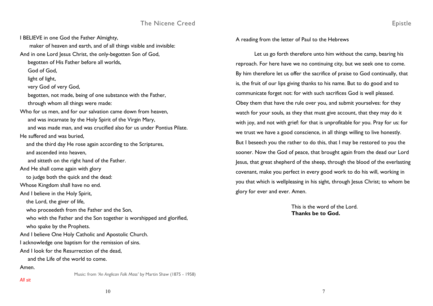I BELIEVE in one God the Father Almighty, maker of heaven and earth, and of all things visible and invisible: And in one Lord Jesus Christ, the only-begotten Son of God, begotten of His Father before all worlds, God of God, light of light, very God of very God,

begotten, not made, being of one substance with the Father,

through whom all things were made:

Who for us men, and for our salvation came down from heaven, and was incarnate by the Holy Spirit of the Virgin Mary,

and was made man, and was crucified also for us under Pontius Pilate.

He suffered and was buried,

and the third day He rose again according to the Scriptures,

and ascended into heaven,

and sitteth on the right hand of the Father.

And He shall come again with glory

to judge both the quick and the dead:

Whose Kingdom shall have no end.

And I believe in the Holy Spirit,

the Lord, the giver of life,

who proceedeth from the Father and the Son,

 who with the Father and the Son together is worshipped and glorified, who spake by the Prophets.

And I believe One Holy Catholic and Apostolic Church.

I acknowledge one baptism for the remission of sins.

And I look for the Resurrection of the dead,

and the Life of the world to come.

Amen.

*All sit*

Music: from *'An Anglican Folk Mass'* by Martin Shaw (1875 - 1958)

A reading from the letter of Paul to the Hebrews

 Let us go forth therefore unto him without the camp, bearing his reproach. For here have we no continuing city, but we seek one to come. By him therefore let us offer the sacrifice of praise to God continually, that is, the fruit of our lips giving thanks to his name. But to do good and to communicate forget not: for with such sacrifices God is well pleased. Obey them that have the rule over you, and submit yourselves: for they watch for your souls, as they that must give account, that they may do it with joy, and not with grief: for that is unprofitable for you. Pray for us: for we trust we have a good conscience, in all things willing to live honestly. But I beseech you the rather to do this, that I may be restored to you the sooner. Now the God of peace, that brought again from the dead our Lord Jesus, that great shepherd of the sheep, through the blood of the everlasting covenant, make you perfect in every good work to do his will, working in you that which is wellpleasing in his sight, through Jesus Christ; to whom be glory for ever and ever. Amen.

> This is the word of the Lord. **Thanks be to God.**